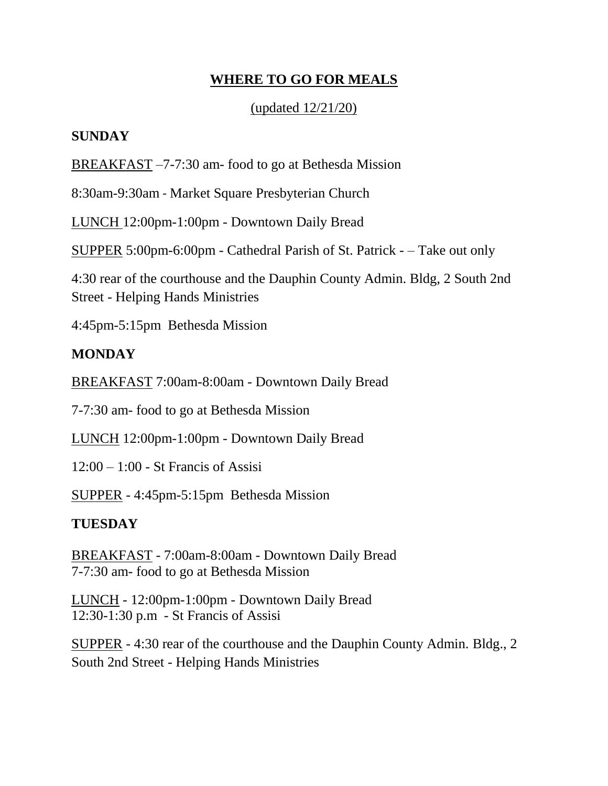# **WHERE TO GO FOR MEALS**

## (updated 12/21/20)

## **SUNDAY**

BREAKFAST –7-7:30 am- food to go at Bethesda Mission

8:30am-9:30am - Market Square Presbyterian Church

LUNCH 12:00pm-1:00pm - Downtown Daily Bread

SUPPER 5:00pm-6:00pm - Cathedral Parish of St. Patrick - – Take out only

4:30 rear of the courthouse and the Dauphin County Admin. Bldg, 2 South 2nd Street - Helping Hands Ministries

4:45pm-5:15pm Bethesda Mission

# **MONDAY**

BREAKFAST 7:00am-8:00am - Downtown Daily Bread

7-7:30 am- food to go at Bethesda Mission

LUNCH 12:00pm-1:00pm - Downtown Daily Bread

12:00 – 1:00 - St Francis of Assisi

SUPPER - 4:45pm-5:15pm Bethesda Mission

## **TUESDAY**

BREAKFAST - 7:00am-8:00am - Downtown Daily Bread 7-7:30 am- food to go at Bethesda Mission

LUNCH - 12:00pm-1:00pm - Downtown Daily Bread 12:30-1:30 p.m - St Francis of Assisi

SUPPER - 4:30 rear of the courthouse and the Dauphin County Admin. Bldg., 2 South 2nd Street - Helping Hands Ministries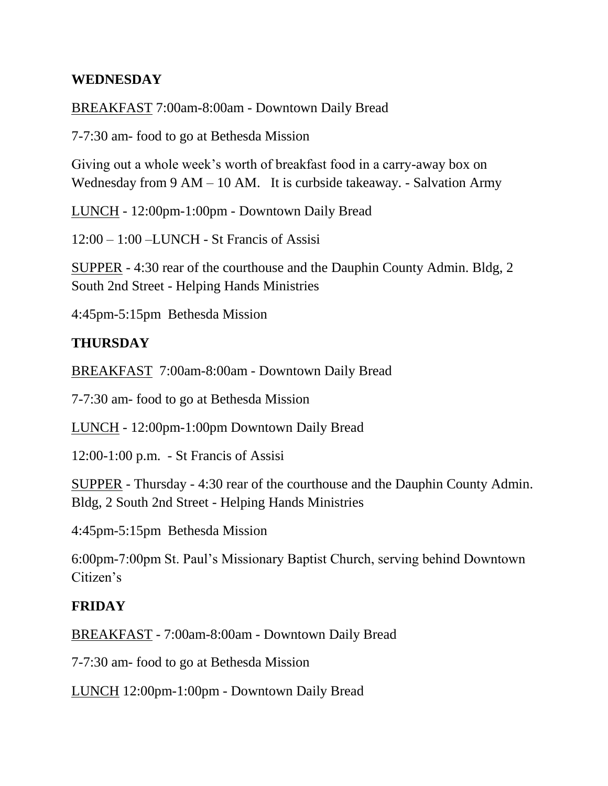### **WEDNESDAY**

### BREAKFAST 7:00am-8:00am - Downtown Daily Bread

7-7:30 am- food to go at Bethesda Mission

Giving out a whole week's worth of breakfast food in a carry-away box on Wednesday from 9 AM – 10 AM. It is curbside takeaway. - Salvation Army

LUNCH - 12:00pm-1:00pm - Downtown Daily Bread

12:00 – 1:00 –LUNCH - St Francis of Assisi

SUPPER - 4:30 rear of the courthouse and the Dauphin County Admin. Bldg, 2 South 2nd Street - Helping Hands Ministries

4:45pm-5:15pm Bethesda Mission

### **THURSDAY**

BREAKFAST 7:00am-8:00am - Downtown Daily Bread

7-7:30 am- food to go at Bethesda Mission

LUNCH - 12:00pm-1:00pm Downtown Daily Bread

12:00-1:00 p.m. - St Francis of Assisi

SUPPER - Thursday - 4:30 rear of the courthouse and the Dauphin County Admin. Bldg, 2 South 2nd Street - Helping Hands Ministries

4:45pm-5:15pm Bethesda Mission

6:00pm-7:00pm St. Paul's Missionary Baptist Church, serving behind Downtown Citizen's

#### **FRIDAY**

BREAKFAST - 7:00am-8:00am - Downtown Daily Bread

7-7:30 am- food to go at Bethesda Mission

LUNCH 12:00pm-1:00pm - Downtown Daily Bread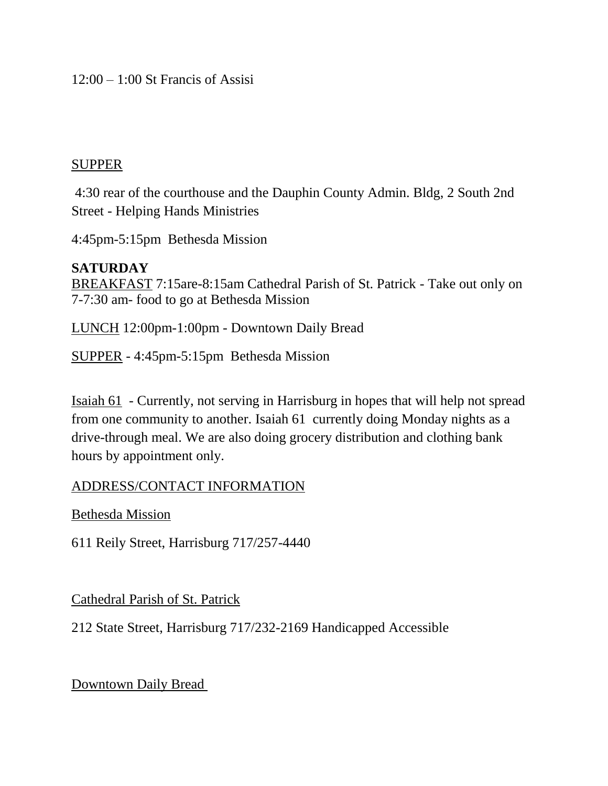12:00 – 1:00 St Francis of Assisi

#### SUPPER

4:30 rear of the courthouse and the Dauphin County Admin. Bldg, 2 South 2nd Street - Helping Hands Ministries

4:45pm-5:15pm Bethesda Mission

### **SATURDAY**

BREAKFAST 7:15are-8:15am Cathedral Parish of St. Patrick - Take out only on 7-7:30 am- food to go at Bethesda Mission

LUNCH 12:00pm-1:00pm - Downtown Daily Bread

SUPPER - 4:45pm-5:15pm Bethesda Mission

Isaiah 61 - Currently, not serving in Harrisburg in hopes that will help not spread from one community to another. Isaiah 61 currently doing Monday nights as a drive-through meal. We are also doing grocery distribution and clothing bank hours by appointment only.

### ADDRESS/CONTACT INFORMATION

Bethesda Mission

611 Reily Street, Harrisburg 717/257-4440

Cathedral Parish of St. Patrick

212 State Street, Harrisburg 717/232-2169 Handicapped Accessible

Downtown Daily Bread